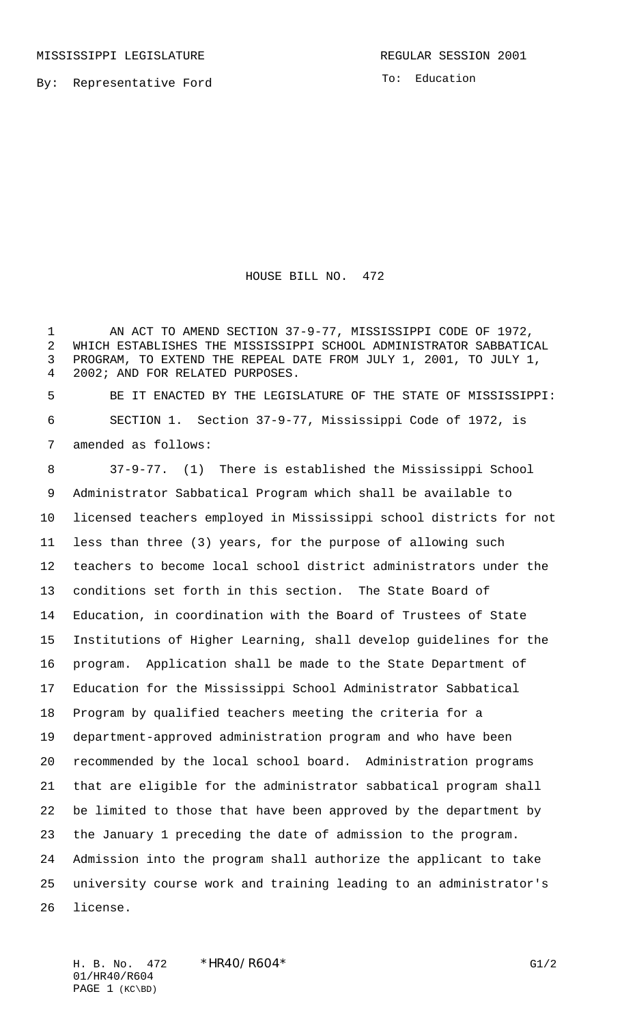To: Education

HOUSE BILL NO. 472

 AN ACT TO AMEND SECTION 37-9-77, MISSISSIPPI CODE OF 1972, WHICH ESTABLISHES THE MISSISSIPPI SCHOOL ADMINISTRATOR SABBATICAL PROGRAM, TO EXTEND THE REPEAL DATE FROM JULY 1, 2001, TO JULY 1, 2002; AND FOR RELATED PURPOSES.

 BE IT ENACTED BY THE LEGISLATURE OF THE STATE OF MISSISSIPPI: SECTION 1. Section 37-9-77, Mississippi Code of 1972, is amended as follows:

 37-9-77. (1) There is established the Mississippi School Administrator Sabbatical Program which shall be available to licensed teachers employed in Mississippi school districts for not less than three (3) years, for the purpose of allowing such teachers to become local school district administrators under the conditions set forth in this section. The State Board of Education, in coordination with the Board of Trustees of State Institutions of Higher Learning, shall develop guidelines for the program. Application shall be made to the State Department of Education for the Mississippi School Administrator Sabbatical Program by qualified teachers meeting the criteria for a department-approved administration program and who have been recommended by the local school board. Administration programs that are eligible for the administrator sabbatical program shall be limited to those that have been approved by the department by the January 1 preceding the date of admission to the program. Admission into the program shall authorize the applicant to take university course work and training leading to an administrator's license.

H. B. No. 472 \*HR40/R604\* G1/2 01/HR40/R604 PAGE 1 (KC\BD)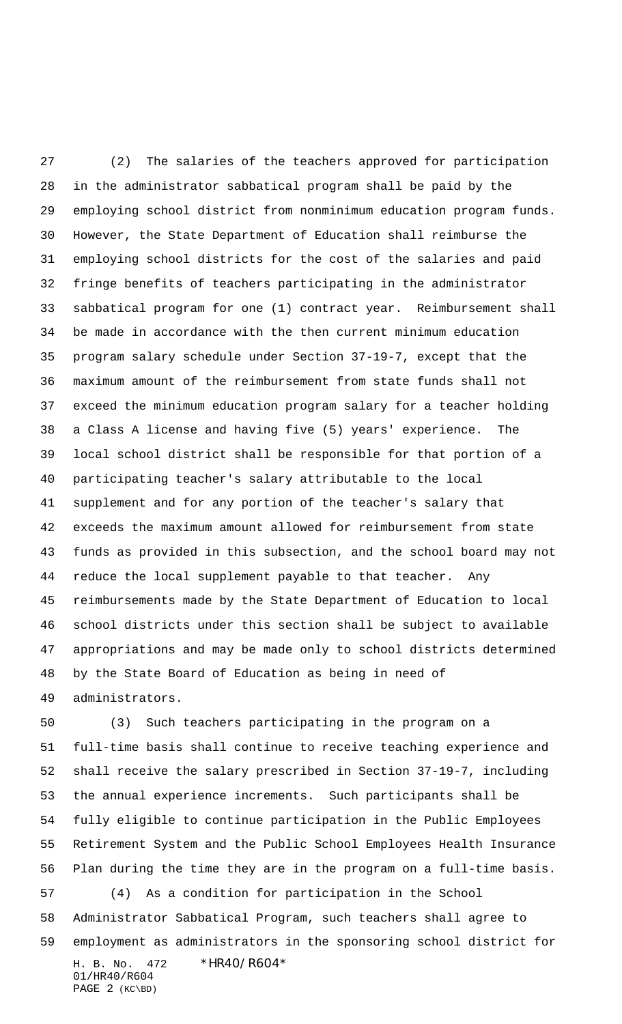(2) The salaries of the teachers approved for participation in the administrator sabbatical program shall be paid by the employing school district from nonminimum education program funds. However, the State Department of Education shall reimburse the employing school districts for the cost of the salaries and paid fringe benefits of teachers participating in the administrator sabbatical program for one (1) contract year. Reimbursement shall be made in accordance with the then current minimum education program salary schedule under Section 37-19-7, except that the maximum amount of the reimbursement from state funds shall not exceed the minimum education program salary for a teacher holding a Class A license and having five (5) years' experience. The local school district shall be responsible for that portion of a participating teacher's salary attributable to the local supplement and for any portion of the teacher's salary that exceeds the maximum amount allowed for reimbursement from state funds as provided in this subsection, and the school board may not reduce the local supplement payable to that teacher. Any reimbursements made by the State Department of Education to local school districts under this section shall be subject to available appropriations and may be made only to school districts determined by the State Board of Education as being in need of administrators.

H. B. No. 472 \*HR40/R604\* 01/HR40/R604 PAGE 2 (KC\BD) (3) Such teachers participating in the program on a full-time basis shall continue to receive teaching experience and shall receive the salary prescribed in Section 37-19-7, including the annual experience increments. Such participants shall be fully eligible to continue participation in the Public Employees Retirement System and the Public School Employees Health Insurance Plan during the time they are in the program on a full-time basis. (4) As a condition for participation in the School Administrator Sabbatical Program, such teachers shall agree to employment as administrators in the sponsoring school district for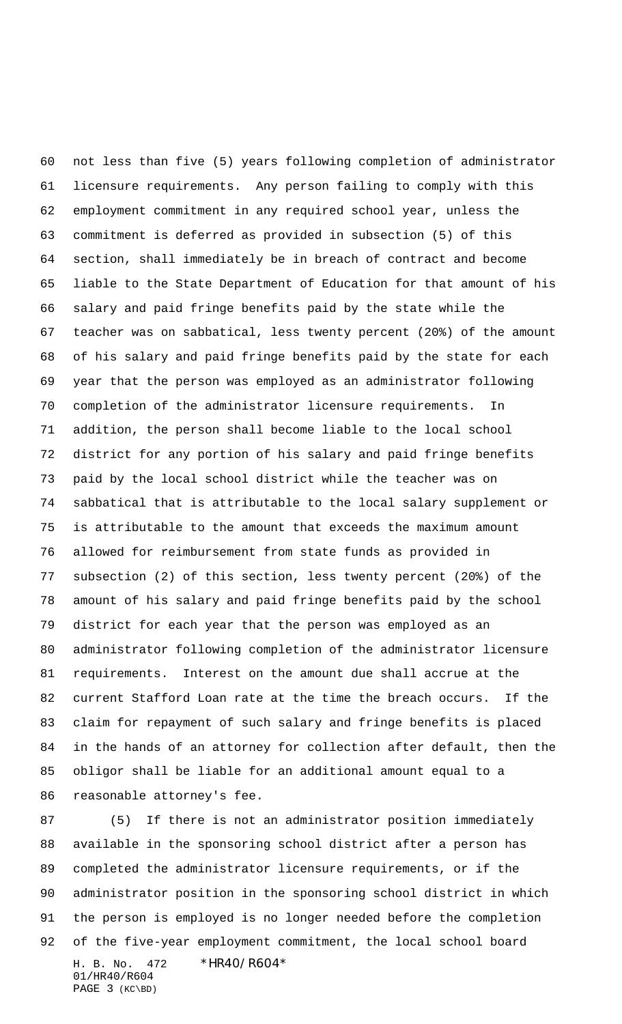not less than five (5) years following completion of administrator licensure requirements. Any person failing to comply with this employment commitment in any required school year, unless the commitment is deferred as provided in subsection (5) of this section, shall immediately be in breach of contract and become liable to the State Department of Education for that amount of his salary and paid fringe benefits paid by the state while the teacher was on sabbatical, less twenty percent (20%) of the amount of his salary and paid fringe benefits paid by the state for each year that the person was employed as an administrator following completion of the administrator licensure requirements. In addition, the person shall become liable to the local school district for any portion of his salary and paid fringe benefits paid by the local school district while the teacher was on sabbatical that is attributable to the local salary supplement or is attributable to the amount that exceeds the maximum amount allowed for reimbursement from state funds as provided in subsection (2) of this section, less twenty percent (20%) of the amount of his salary and paid fringe benefits paid by the school district for each year that the person was employed as an administrator following completion of the administrator licensure requirements. Interest on the amount due shall accrue at the current Stafford Loan rate at the time the breach occurs. If the claim for repayment of such salary and fringe benefits is placed in the hands of an attorney for collection after default, then the obligor shall be liable for an additional amount equal to a reasonable attorney's fee.

H. B. No. 472 \*HR40/R604\* 01/HR40/R604 PAGE 3 (KC\BD) 87 (5) If there is not an administrator position immediately available in the sponsoring school district after a person has completed the administrator licensure requirements, or if the administrator position in the sponsoring school district in which the person is employed is no longer needed before the completion of the five-year employment commitment, the local school board